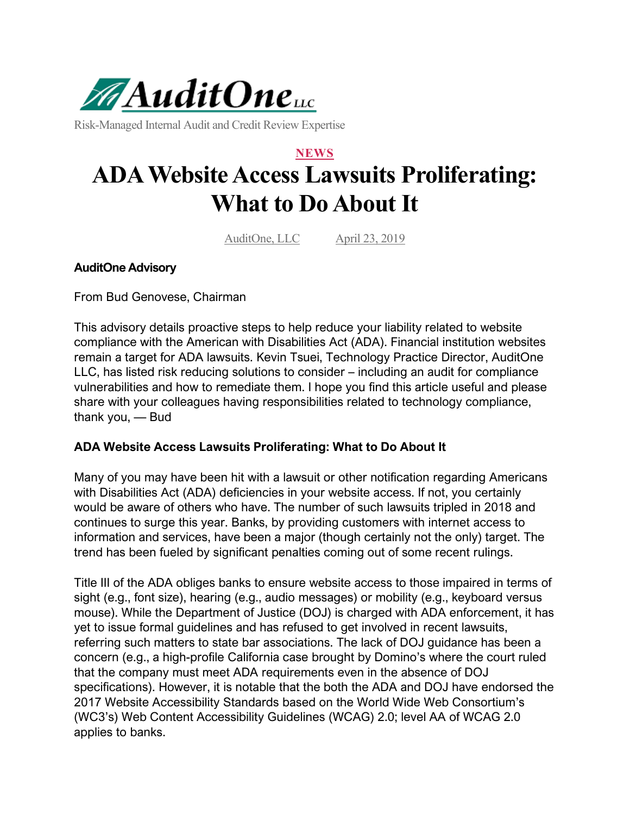

Risk-Managed Internal Audit and Credit Review Expertise

## **NEWS ADA Website Access Lawsuits Proliferating: What to Do About It**

AuditOne, LLC April 23, 2019

## **AuditOne Advisory**

From Bud Genovese, Chairman

This advisory details proactive steps to help reduce your liability related to website compliance with the American with Disabilities Act (ADA). Financial institution websites remain a target for ADA lawsuits. Kevin Tsuei, Technology Practice Director, AuditOne LLC, has listed risk reducing solutions to consider – including an audit for compliance vulnerabilities and how to remediate them. I hope you find this article useful and please share with your colleagues having responsibilities related to technology compliance, thank you, — Bud

## **ADA Website Access Lawsuits Proliferating: What to Do About It**

Many of you may have been hit with a lawsuit or other notification regarding Americans with Disabilities Act (ADA) deficiencies in your website access. If not, you certainly would be aware of others who have. The number of such lawsuits tripled in 2018 and continues to surge this year. Banks, by providing customers with internet access to information and services, have been a major (though certainly not the only) target. The trend has been fueled by significant penalties coming out of some recent rulings.

Title III of the ADA obliges banks to ensure website access to those impaired in terms of sight (e.g., font size), hearing (e.g., audio messages) or mobility (e.g., keyboard versus mouse). While the Department of Justice (DOJ) is charged with ADA enforcement, it has yet to issue formal guidelines and has refused to get involved in recent lawsuits, referring such matters to state bar associations. The lack of DOJ guidance has been a concern (e.g., a high-profile California case brought by Domino's where the court ruled that the company must meet ADA requirements even in the absence of DOJ specifications). However, it is notable that the both the ADA and DOJ have endorsed the 2017 Website Accessibility Standards based on the World Wide Web Consortium's (WC3's) Web Content Accessibility Guidelines (WCAG) 2.0; level AA of WCAG 2.0 applies to banks.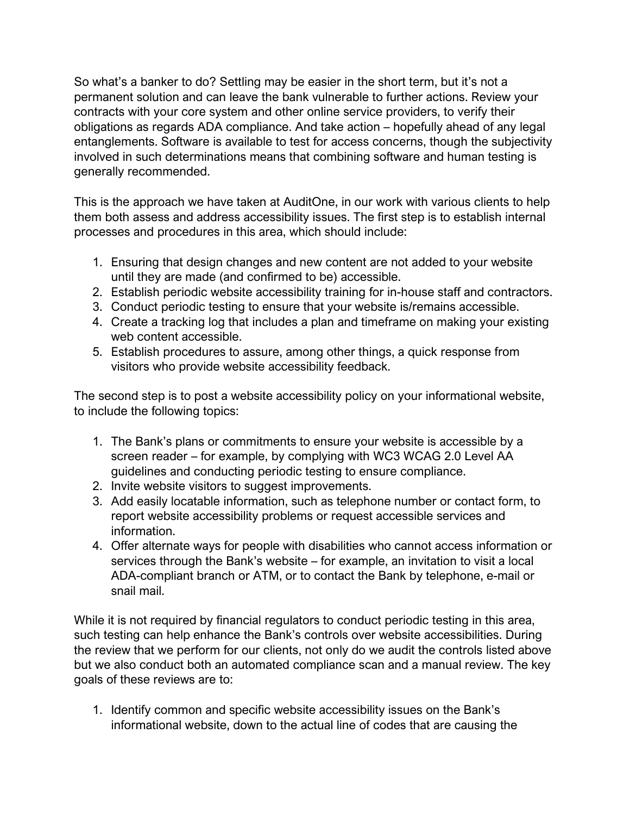So what's a banker to do? Settling may be easier in the short term, but it's not a permanent solution and can leave the bank vulnerable to further actions. Review your contracts with your core system and other online service providers, to verify their obligations as regards ADA compliance. And take action – hopefully ahead of any legal entanglements. Software is available to test for access concerns, though the subjectivity involved in such determinations means that combining software and human testing is generally recommended.

This is the approach we have taken at AuditOne, in our work with various clients to help them both assess and address accessibility issues. The first step is to establish internal processes and procedures in this area, which should include:

- 1. Ensuring that design changes and new content are not added to your website until they are made (and confirmed to be) accessible.
- 2. Establish periodic website accessibility training for in-house staff and contractors.
- 3. Conduct periodic testing to ensure that your website is/remains accessible.
- 4. Create a tracking log that includes a plan and timeframe on making your existing web content accessible.
- 5. Establish procedures to assure, among other things, a quick response from visitors who provide website accessibility feedback.

The second step is to post a website accessibility policy on your informational website, to include the following topics:

- 1. The Bank's plans or commitments to ensure your website is accessible by a screen reader – for example, by complying with WC3 WCAG 2.0 Level AA guidelines and conducting periodic testing to ensure compliance.
- 2. Invite website visitors to suggest improvements.
- 3. Add easily locatable information, such as telephone number or contact form, to report website accessibility problems or request accessible services and information.
- 4. Offer alternate ways for people with disabilities who cannot access information or services through the Bank's website – for example, an invitation to visit a local ADA-compliant branch or ATM, or to contact the Bank by telephone, e-mail or snail mail.

While it is not required by financial regulators to conduct periodic testing in this area, such testing can help enhance the Bank's controls over website accessibilities. During the review that we perform for our clients, not only do we audit the controls listed above but we also conduct both an automated compliance scan and a manual review. The key goals of these reviews are to:

1. Identify common and specific website accessibility issues on the Bank's informational website, down to the actual line of codes that are causing the